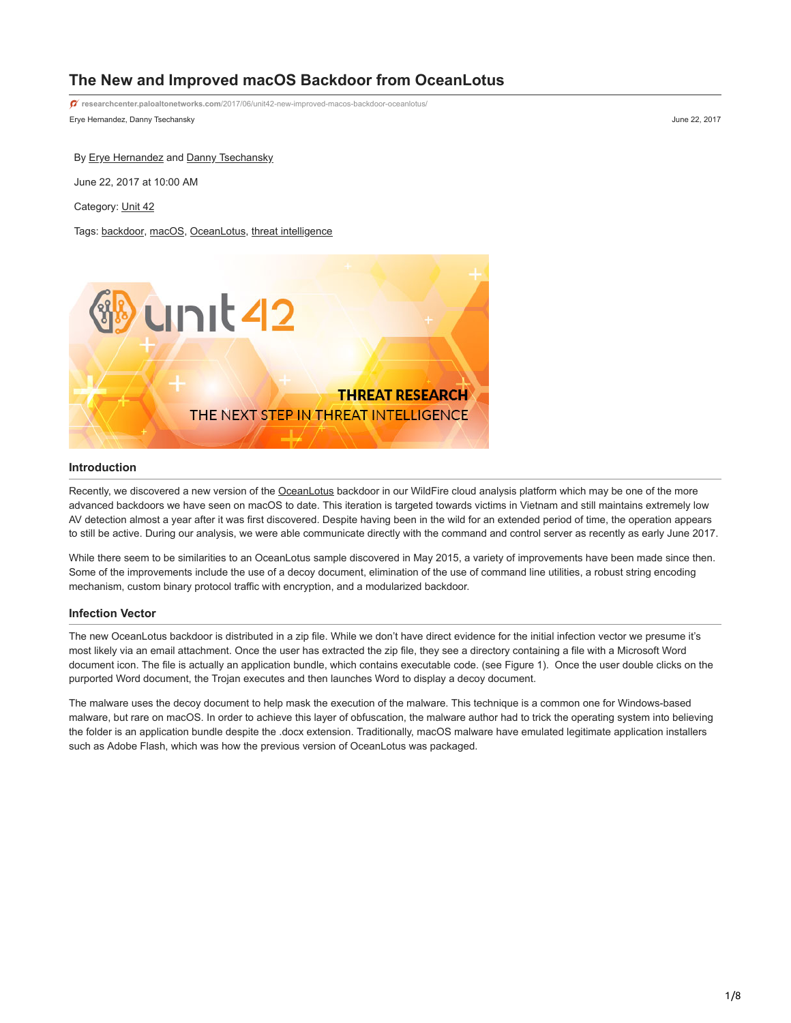# **The New and Improved macOS Backdoor from OceanLotus**

Erye Hernandez, Danny Tsechansky June 22, 2017 **researchcenter.paloaltonetworks.com**[/2017/06/unit42-new-improved-macos-backdoor-oceanlotus/](https://researchcenter.paloaltonetworks.com/2017/06/unit42-new-improved-macos-backdoor-oceanlotus/)

By **[Erye Hernandez](https://unit42.paloaltonetworks.com/author/erye-hernandez/)** and **Danny Tsechansky** 

June 22, 2017 at 10:00 AM

Category: [Unit 42](https://unit42.paloaltonetworks.com/category/unit42/)

Tags: [backdoor](https://unit42.paloaltonetworks.com/tag/backdoor/), [macOS](https://unit42.paloaltonetworks.com/tag/macos/), [OceanLotus](https://unit42.paloaltonetworks.com/tag/oceanlotus/), [threat intelligence](https://unit42.paloaltonetworks.com/tag/threat-intelligence/)



## **Introduction**

Recently, we discovered a new version of the [OceanLotus](https://www.alienvault.com/blogs/labs-research/oceanlotus-for-os-x-an-application-bundle-pretending-to-be-an-adobe-flash-update) backdoor in our WildFire cloud analysis platform which may be one of the more advanced backdoors we have seen on macOS to date. This iteration is targeted towards victims in Vietnam and still maintains extremely low AV detection almost a year after it was first discovered. Despite having been in the wild for an extended period of time, the operation appears to still be active. During our analysis, we were able communicate directly with the command and control server as recently as early June 2017.

While there seem to be similarities to an OceanLotus sample discovered in May 2015, a variety of improvements have been made since then. Some of the improvements include the use of a decoy document, elimination of the use of command line utilities, a robust string encoding mechanism, custom binary protocol traffic with encryption, and a modularized backdoor.

#### **Infection Vector**

The new OceanLotus backdoor is distributed in a zip file. While we don't have direct evidence for the initial infection vector we presume it's most likely via an email attachment. Once the user has extracted the zip file, they see a directory containing a file with a Microsoft Word document icon. The file is actually an application bundle, which contains executable code. (see Figure 1). Once the user double clicks on the purported Word document, the Trojan executes and then launches Word to display a decoy document.

The malware uses the decoy document to help mask the execution of the malware. This technique is a common one for Windows-based malware, but rare on macOS. In order to achieve this layer of obfuscation, the malware author had to trick the operating system into believing the folder is an application bundle despite the .docx extension. Traditionally, macOS malware have emulated legitimate application installers such as Adobe Flash, which was how the previous version of OceanLotus was packaged.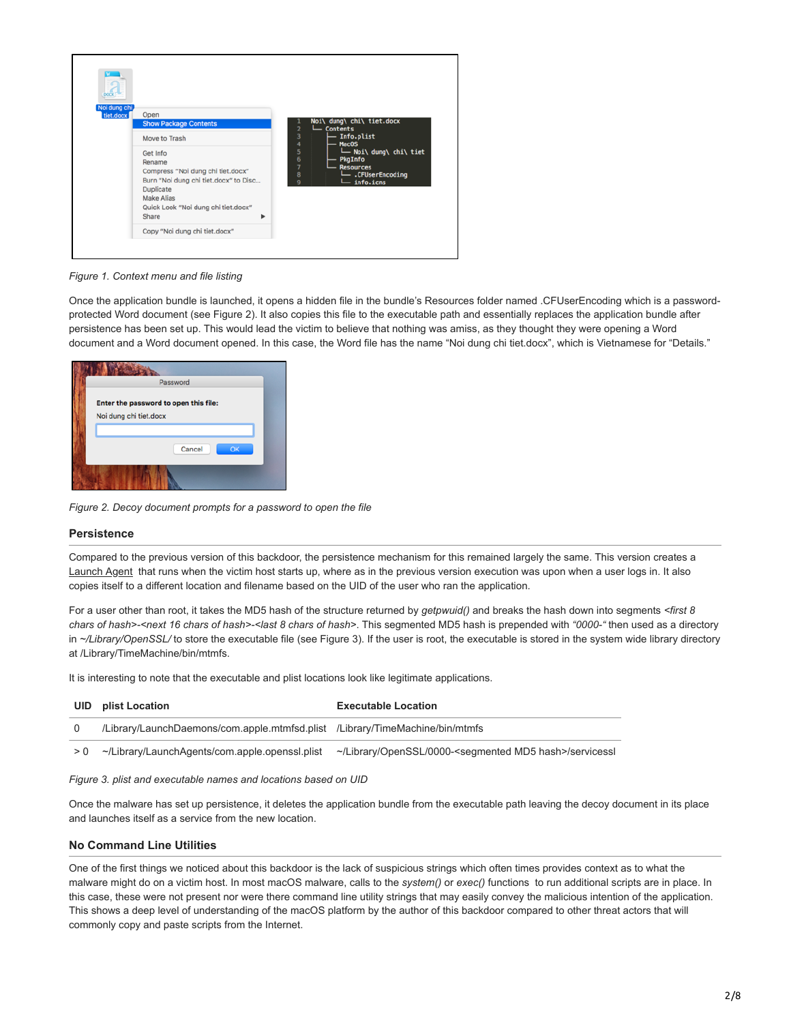

*Figure 1. Context menu and file listing*

Once the application bundle is launched, it opens a hidden file in the bundle's Resources folder named .CFUserEncoding which is a passwordprotected Word document (see Figure 2). It also copies this file to the executable path and essentially replaces the application bundle after persistence has been set up. This would lead the victim to believe that nothing was amiss, as they thought they were opening a Word document and a Word document opened. In this case, the Word file has the name "Noi dung chi tiet.docx", which is Vietnamese for "Details."

| Password                              |  |
|---------------------------------------|--|
| Enter the password to open this file: |  |
| Noi dung chi tiet.docx                |  |
|                                       |  |
| Cancel<br>OK                          |  |
|                                       |  |

*Figure 2. Decoy document prompts for a password to open the file*

#### **Persistence**

Compared to the previous version of this backdoor, the persistence mechanism for this remained largely the same. This version creates a [Launch Agent](https://developer.apple.com/library/content/documentation/MacOSX/Conceptual/BPSystemStartup/Chapters/CreatingLaunchdJobs.html) that runs when the victim host starts up, where as in the previous version execution was upon when a user logs in. It also copies itself to a different location and filename based on the UID of the user who ran the application.

For a user other than root, it takes the MD5 hash of the structure returned by *getpwuid()* and breaks the hash down into segments *<first 8 chars of hash>-<next 16 chars of hash>-<last 8 chars of hash>*. This segmented MD5 hash is prepended with *"0000-"* then used as a directory in ~/Library/OpenSSL/ to store the executable file (see Figure 3). If the user is root, the executable is stored in the system wide library directory at /Library/TimeMachine/bin/mtmfs.

It is interesting to note that the executable and plist locations look like legitimate applications.

| UID | plist Location                                                               | <b>Executable Location</b>                                                |
|-----|------------------------------------------------------------------------------|---------------------------------------------------------------------------|
|     | /Library/LaunchDaemons/com.apple.mtmfsd.plist /Library/TimeMachine/bin/mtmfs |                                                                           |
| > 0 | ~/Library/LaunchAgents/com.apple.openssl.plist                               | ~/Library/OpenSSL/0000- <segmented hash="" md5="">/servicessl</segmented> |

#### *Figure 3. plist and executable names and locations based on UID*

Once the malware has set up persistence, it deletes the application bundle from the executable path leaving the decoy document in its place and launches itself as a service from the new location.

## **No Command Line Utilities**

One of the first things we noticed about this backdoor is the lack of suspicious strings which often times provides context as to what the malware might do on a victim host. In most macOS malware, calls to the *system()* or *exec()* functions to run additional scripts are in place. In this case, these were not present nor were there command line utility strings that may easily convey the malicious intention of the application. This shows a deep level of understanding of the macOS platform by the author of this backdoor compared to other threat actors that will commonly copy and paste scripts from the Internet.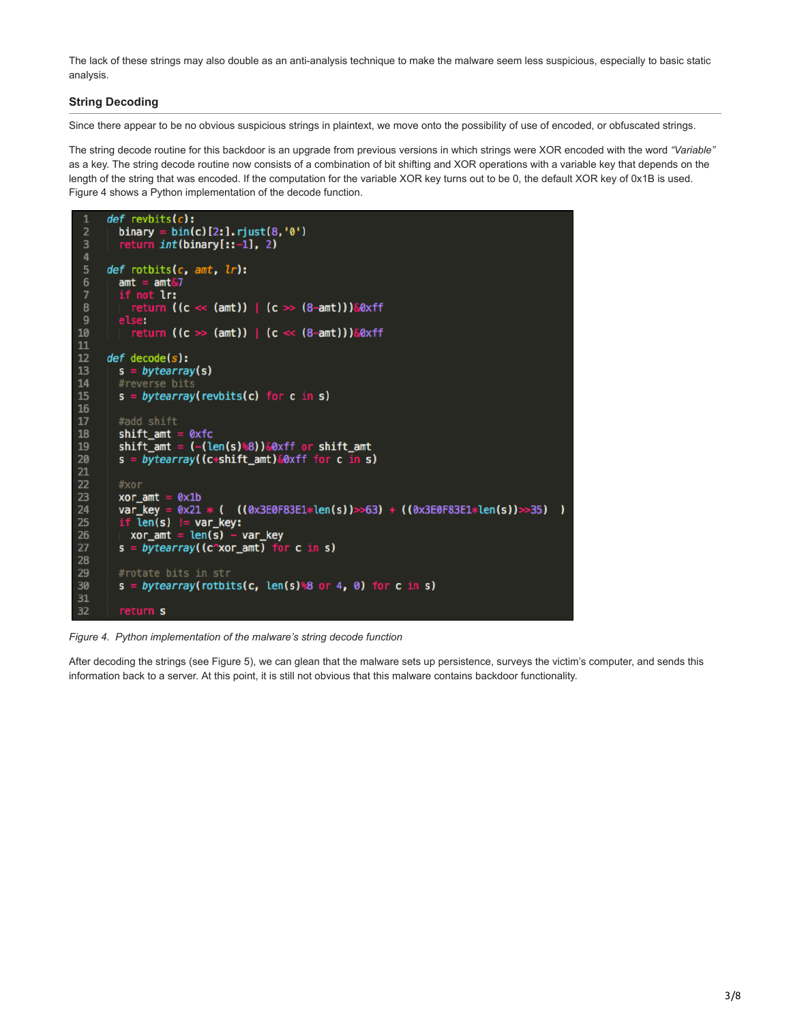The lack of these strings may also double as an anti-analysis technique to make the malware seem less suspicious, especially to basic static analysis.

## **String Decoding**

Since there appear to be no obvious suspicious strings in plaintext, we move onto the possibility of use of encoded, or obfuscated strings.

The string decode routine for this backdoor is an upgrade from previous versions in which strings were XOR encoded with the word *"Variable"* as a key. The string decode routine now consists of a combination of bit shifting and XOR operations with a variable key that depends on the length of the string that was encoded. If the computation for the variable XOR key turns out to be 0, the default XOR key of 0x1B is used. Figure 4 shows a Python implementation of the decode function.



*Figure 4. Python implementation of the malware's string decode function*

After decoding the strings (see Figure 5), we can glean that the malware sets up persistence, surveys the victim's computer, and sends this information back to a server. At this point, it is still not obvious that this malware contains backdoor functionality.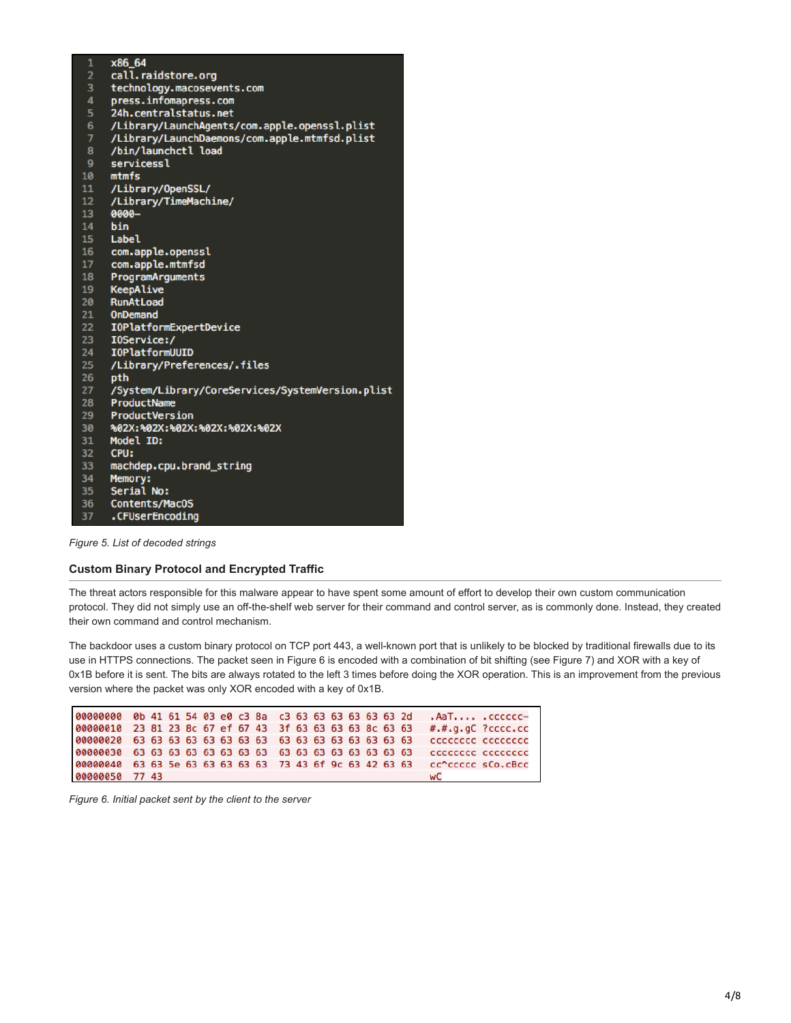| 1               | x86 64                                           |
|-----------------|--------------------------------------------------|
| $\overline{2}$  | call.raidstore.org                               |
| 3               | technology.macosevents.com                       |
| 4               | press.infomapress.com                            |
| 5               | 24h.centralstatus.net                            |
| 6               | /Library/LaunchAgents/com.apple.openssl.plist    |
| $\overline{7}$  | /Library/LaunchDaemons/com.apple.mtmfsd.plist    |
| 8               | /bin/launchctl load                              |
| 9               | servicessl                                       |
| 10              | mtmfs                                            |
| 11              | /Library/OpenSSL/                                |
| 12 <sub>1</sub> | /Library/TimeMachine/                            |
| 13 <sup>°</sup> | 0000-                                            |
| 14              | bin                                              |
| 15              | Label                                            |
| 16              | com.apple.openssl                                |
| 17              | com.apple.mtmfsd                                 |
| 18              | ProgramArguments                                 |
| 19              | KeepAlive                                        |
| 20              | <b>RunAtLoad</b>                                 |
| 21              | <b>OnDemand</b>                                  |
| 22              | <b>IOPlatformExpertDevice</b>                    |
| 23<br>24        | I0Service:/<br><b>IOPlatformUUID</b>             |
| 25              |                                                  |
| 26              | /Library/Preferences/.files<br>pth               |
| 27              | /System/Library/CoreServices/SystemVersion.plist |
| 28              | ProductName                                      |
| 29              | ProductVersion                                   |
| 30              | %02X:%02X:%02X:%02X:%02X:%02X                    |
| 31              | Model ID:                                        |
| 32              | CPU:                                             |
| 33              | machdep.cpu.brand_string                         |
| 34              | Memory:                                          |
| 35 <sub>1</sub> | Serial No:                                       |
| 36              | Contents/MacOS                                   |
| 37              | .CFUserEncoding                                  |
|                 |                                                  |

*Figure 5. List of decoded strings*

## **Custom Binary Protocol and Encrypted Traffic**

The threat actors responsible for this malware appear to have spent some amount of effort to develop their own custom communication protocol. They did not simply use an off-the-shelf web server for their command and control server, as is commonly done. Instead, they created their own command and control mechanism.

The backdoor uses a custom binary protocol on TCP port 443, a well-known port that is unlikely to be blocked by traditional firewalls due to its use in HTTPS connections. The packet seen in Figure 6 is encoded with a combination of bit shifting (see Figure 7) and XOR with a key of 0x1B before it is sent. The bits are always rotated to the left 3 times before doing the XOR operation. This is an improvement from the previous version where the packet was only XOR encoded with a key of 0x1B.

| 00000000 0b 41 61 54 03 e0 c3 8a c3 63 63 63 63 63 63 2d |  |  |  |  |  |  |  | -AaT . cccccc               |  |
|----------------------------------------------------------|--|--|--|--|--|--|--|-----------------------------|--|
| 00000010 23 81 23 8c 67 ef 67 43 3f 63 63 63 63 8c 63 63 |  |  |  |  |  |  |  | $\#.\#.g.gC$ ? $ccc$ . $cc$ |  |
|                                                          |  |  |  |  |  |  |  | cccccccc cccccccc           |  |
|                                                          |  |  |  |  |  |  |  | CCCCCCCC CCCCCCCC           |  |
| 00000040 63 63 5e 63 63 63 63 63 73 43 6f 9c 63 42 63 63 |  |  |  |  |  |  |  | cc^ccccc sCo.cBcc           |  |
| 00000050 77 43                                           |  |  |  |  |  |  |  | wC                          |  |

*Figure 6. Initial packet sent by the client to the server*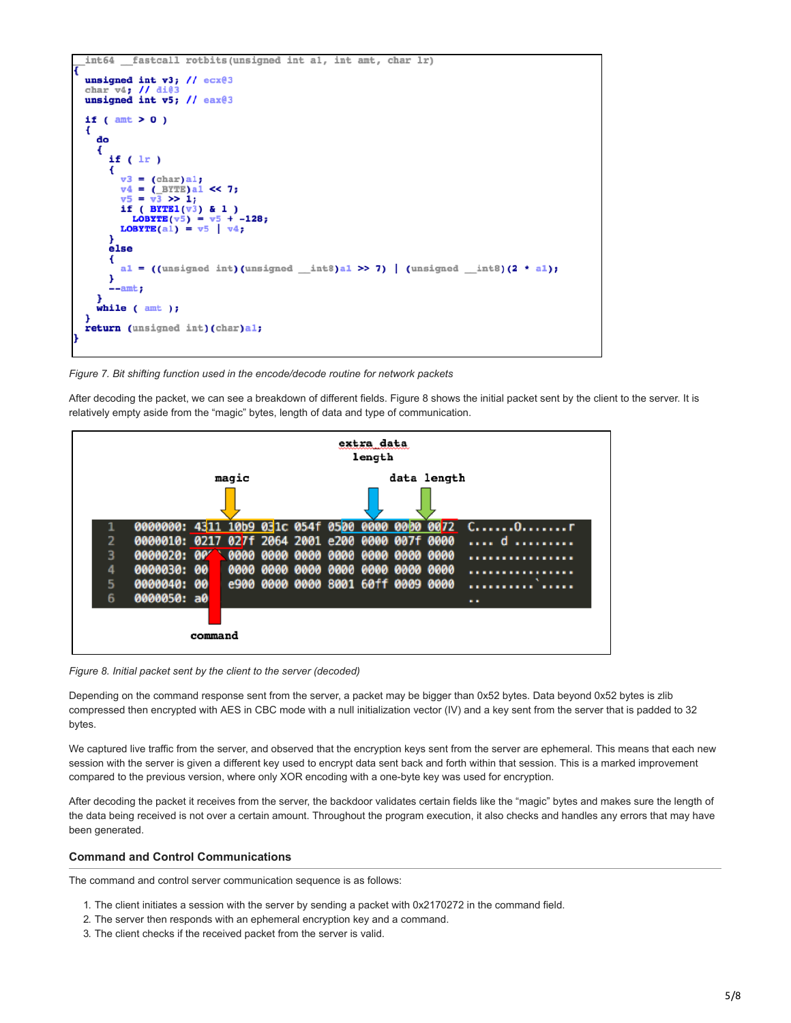

*Figure 7. Bit shifting function used in the encode/decode routine for network packets*

After decoding the packet, we can see a breakdown of different fields. Figure 8 shows the initial packet sent by the client to the server. It is relatively empty aside from the "magic" bytes, length of data and type of communication.



*Figure 8. Initial packet sent by the client to the server (decoded)*

Depending on the command response sent from the server, a packet may be bigger than 0x52 bytes. Data beyond 0x52 bytes is zlib compressed then encrypted with AES in CBC mode with a null initialization vector (IV) and a key sent from the server that is padded to 32 bytes.

We captured live traffic from the server, and observed that the encryption keys sent from the server are ephemeral. This means that each new session with the server is given a different key used to encrypt data sent back and forth within that session. This is a marked improvement compared to the previous version, where only XOR encoding with a one-byte key was used for encryption.

After decoding the packet it receives from the server, the backdoor validates certain fields like the "magic" bytes and makes sure the length of the data being received is not over a certain amount. Throughout the program execution, it also checks and handles any errors that may have been generated.

#### **Command and Control Communications**

The command and control server communication sequence is as follows:

- 1. The client initiates a session with the server by sending a packet with 0x2170272 in the command field.
- 2. The server then responds with an ephemeral encryption key and a command.
- 3. The client checks if the received packet from the server is valid.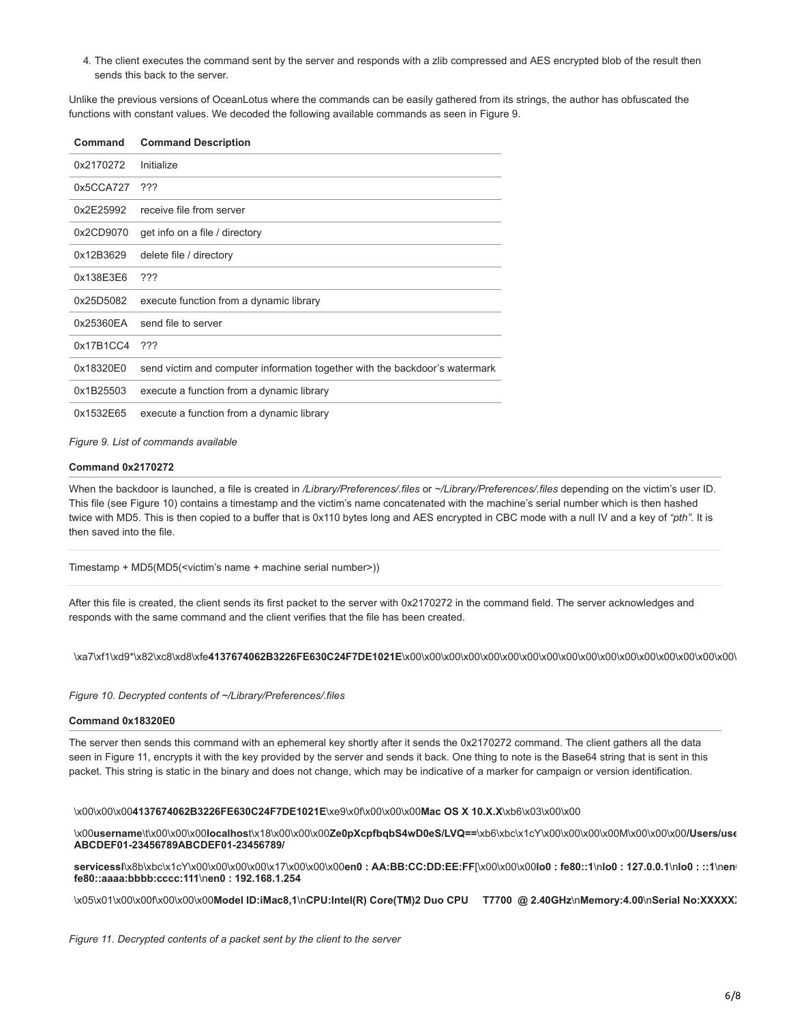4. The client executes the command sent by the server and responds with a zlib compressed and AES encrypted blob of the result then sends this back to the server.

Unlike the previous versions of OceanLotus where the commands can be easily gathered from its strings, the author has obfuscated the functions with constant values. We decoded the following available commands as seen in Figure 9.

| Command   | <b>Command Description</b>                                                  |
|-----------|-----------------------------------------------------------------------------|
| 0x2170272 | Initialize                                                                  |
| 0x5CCA727 | ???                                                                         |
| 0x2E25992 | receive file from server                                                    |
| 0x2CD9070 | get info on a file / directory                                              |
| 0x12B3629 | delete file / directory                                                     |
| 0x138E3E6 | ???                                                                         |
| 0x25D5082 | execute function from a dynamic library                                     |
| 0x25360EA | send file to server                                                         |
| 0x17B1CC4 | ???                                                                         |
| 0x18320E0 | send victim and computer information together with the backdoor's watermark |
| 0x1B25503 | execute a function from a dynamic library                                   |
| 0x1532E65 | execute a function from a dynamic library                                   |

*Figure 9. List of commands available*

#### **Command 0x2170272**

When the backdoor is launched, a file is created in */Library/Preferences/.files* or *~/Library/Preferences/.files* depending on the victim's user ID. This file (see Figure 10) contains a timestamp and the victim's name concatenated with the machine's serial number which is then hashed twice with MD5. This is then copied to a buffer that is 0x110 bytes long and AES encrypted in CBC mode with a null IV and a key of *"pth"*. It is then saved into the file.

Timestamp + MD5(MD5(<victim's name + machine serial number>))

After this file is created, the client sends its first packet to the server with 0x2170272 in the command field. The server acknowledges and responds with the same command and the client verifies that the file has been created.

\xa7\xf1\xd9\*\x82\xc8\xd8\xfe**4137674062B3226FE630C24F7DE1021E**\x00\x00\x00\x00\x00\x00\x00\x00\x00\x00\x00\x00\x00\x00\x00\x00\x00\

*Figure 10. Decrypted contents of ~/Library/Preferences/.files*

#### **Command 0x18320E0**

The server then sends this command with an ephemeral key shortly after it sends the 0x2170272 command. The client gathers all the data seen in Figure 11, encrypts it with the key provided by the server and sends it back. One thing to note is the Base64 string that is sent in this packet. This string is static in the binary and does not change, which may be indicative of a marker for campaign or version identification.

\x00\x00\x00**4137674062B3226FE630C24F7DE1021E**\xe9\x0f\x00\x00\x00**Mac OS X 10.X.X**\xb6\x03\x00\x00

\x00**username**\t\x00\x00\x00**localhos**t\x18\x00\x00\x00**Ze0pXcpfbqbS4wD0eS/LVQ==**\xb6\xbc\x1cY\x00\x00\x00\x00M\x00\x00\x00**/Users/use ABCDEF01-23456789ABCDEF01-23456789/**

**servicessl**\x8b\xbc\x1cY\x00\x00\x00\x00\x17\x00\x00\x00**en0 : AA:BB:CC:DD:EE:FF**[\x00\x00\x00**lo0 : fe80::1**\n**lo0 : 127.0.0.1**\n**lo0 : ::1**\n**en0 fe80::aaaa:bbbb:cccc:111**\n**en0 : 192.168.1.254**

\x05\x01\x00\x00f\x00\x00\x00**Model ID:iMac8,1**\n**CPU:Intel(R) Core(TM)2 Duo CPU T7700 @ 2.40GHz**\n**Memory:4.00**\n**Serial No:XXXXXX**

*Figure 11. Decrypted contents of a packet sent by the client to the server*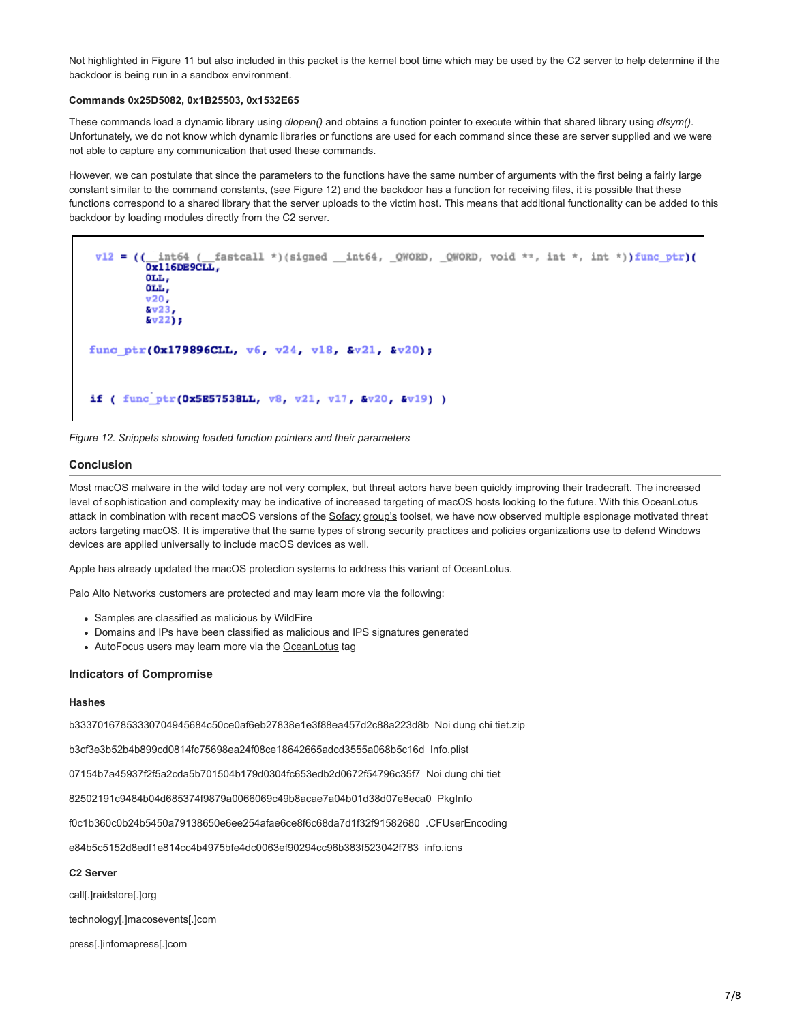Not highlighted in Figure 11 but also included in this packet is the kernel boot time which may be used by the C2 server to help determine if the backdoor is being run in a sandbox environment.

#### **Commands 0x25D5082, 0x1B25503, 0x1532E65**

These commands load a dynamic library using *dlopen()* and obtains a function pointer to execute within that shared library using *dlsym()*. Unfortunately, we do not know which dynamic libraries or functions are used for each command since these are server supplied and we were not able to capture any communication that used these commands.

However, we can postulate that since the parameters to the functions have the same number of arguments with the first being a fairly large constant similar to the command constants, (see Figure 12) and the backdoor has a function for receiving files, it is possible that these functions correspond to a shared library that the server uploads to the victim host. This means that additional functionality can be added to this backdoor by loading modules directly from the C2 server.

```
v12 = ((\n \frac{\text{int64}}{\text{Ox116DE9CLL}})_fastcall *)(signed __int64, _QWORD, _QWORD, void **, int *, int *))func_ptr)(
         OLL,
         OLL,
         v20,238v22j;func_ptr(0x179896CLL, v6, v24, v18, &v21, &v20);
if ( func_ptr (0x5E57538LL, v8, v21, v17, &v20, &v19) )
```


### **Conclusion**

Most macOS malware in the wild today are not very complex, but threat actors have been quickly improving their tradecraft. The increased level of sophistication and complexity may be indicative of increased targeting of macOS hosts looking to the future. With this OceanLotus attack in combination with recent macOS versions of the [Sofacy](https://blog.paloaltonetworks.com/2016/09/unit42-sofacys-komplex-os-x-trojan/) [group's](https://blog.paloaltonetworks.com/2017/02/unit42-xagentosx-sofacys-xagent-macos-tool/) toolset, we have now observed multiple espionage motivated threat actors targeting macOS. It is imperative that the same types of strong security practices and policies organizations use to defend Windows devices are applied universally to include macOS devices as well.

Apple has already updated the macOS protection systems to address this variant of OceanLotus.

Palo Alto Networks customers are protected and may learn more via the following:

- Samples are classified as malicious by WildFire
- Domains and IPs have been classified as malicious and IPS signatures generated
- AutoFocus users may learn more via the [OceanLotus](https://autofocus.paloaltonetworks.com/#/tag/Unit42.OceanLotus) tag

#### **Indicators of Compromise**

#### **Hashes**

b33370167853330704945684c50ce0af6eb27838e1e3f88ea457d2c88a223d8b Noi dung chi tiet.zip

b3cf3e3b52b4b899cd0814fc75698ea24f08ce18642665adcd3555a068b5c16d Info.plist

07154b7a45937f2f5a2cda5b701504b179d0304fc653edb2d0672f54796c35f7 Noi dung chi tiet

82502191c9484b04d685374f9879a0066069c49b8acae7a04b01d38d07e8eca0 PkgInfo

f0c1b360c0b24b5450a79138650e6ee254afae6ce8f6c68da7d1f32f91582680 .CFUserEncoding

e84b5c5152d8edf1e814cc4b4975bfe4dc0063ef90294cc96b383f523042f783 info.icns

#### **C2 Server**

call[.]raidstore[.]org

technology[.]macosevents[.]com

press[.]infomapress[.]com